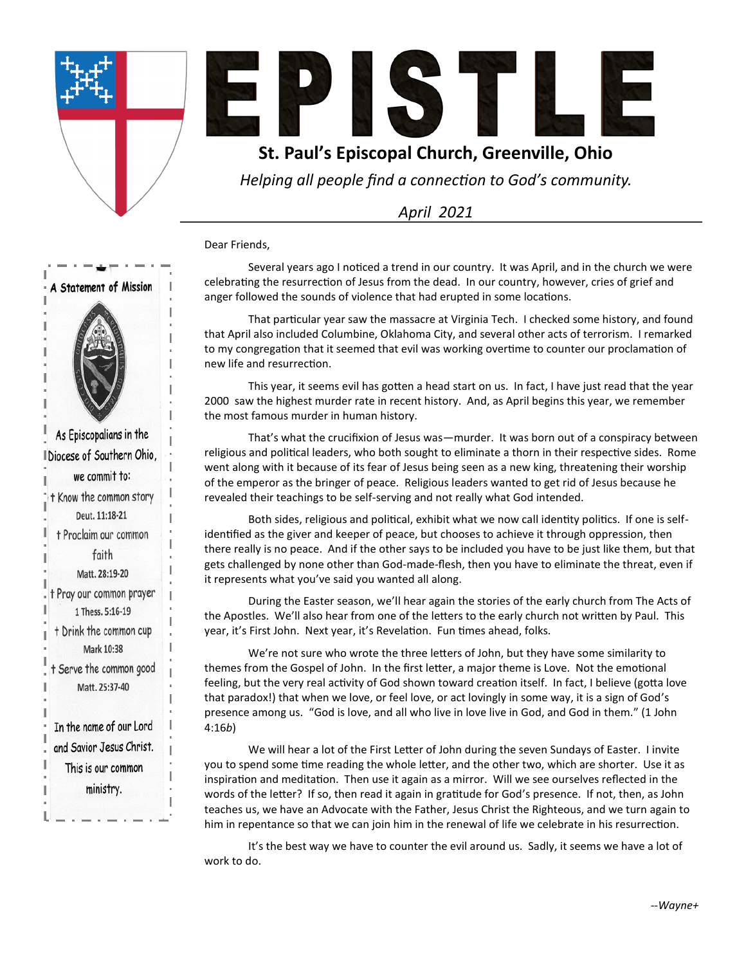



### **St. Paul's Episcopal Church, Greenville, Ohio**

*Helping all people find a connection to God's community.*

*April 2021*

Dear Friends,

Several years ago I noticed a trend in our country. It was April, and in the church we were celebrating the resurrection of Jesus from the dead. In our country, however, cries of grief and anger followed the sounds of violence that had erupted in some locations.

That particular year saw the massacre at Virginia Tech. I checked some history, and found that April also included Columbine, Oklahoma City, and several other acts of terrorism. I remarked to my congregation that it seemed that evil was working overtime to counter our proclamation of new life and resurrection.

This year, it seems evil has gotten a head start on us. In fact, I have just read that the year 2000 saw the highest murder rate in recent history. And, as April begins this year, we remember the most famous murder in human history.

That's what the crucifixion of Jesus was—murder. It was born out of a conspiracy between religious and political leaders, who both sought to eliminate a thorn in their respective sides. Rome went along with it because of its fear of Jesus being seen as a new king, threatening their worship of the emperor as the bringer of peace. Religious leaders wanted to get rid of Jesus because he revealed their teachings to be self-serving and not really what God intended.

Both sides, religious and political, exhibit what we now call identity politics. If one is selfidentified as the giver and keeper of peace, but chooses to achieve it through oppression, then there really is no peace. And if the other says to be included you have to be just like them, but that gets challenged by none other than God-made-flesh, then you have to eliminate the threat, even if it represents what you've said you wanted all along.

During the Easter season, we'll hear again the stories of the early church from The Acts of the Apostles. We'll also hear from one of the letters to the early church not written by Paul. This year, it's First John. Next year, it's Revelation. Fun times ahead, folks.

We're not sure who wrote the three letters of John, but they have some similarity to themes from the Gospel of John. In the first letter, a major theme is Love. Not the emotional feeling, but the very real activity of God shown toward creation itself. In fact, I believe (gotta love that paradox!) that when we love, or feel love, or act lovingly in some way, it is a sign of God's presence among us. "God is love, and all who live in love live in God, and God in them." (1 John 4:16*b*)

We will hear a lot of the First Letter of John during the seven Sundays of Easter. I invite you to spend some time reading the whole letter, and the other two, which are shorter. Use it as inspiration and meditation. Then use it again as a mirror. Will we see ourselves reflected in the words of the letter? If so, then read it again in gratitude for God's presence. If not, then, as John teaches us, we have an Advocate with the Father, Jesus Christ the Righteous, and we turn again to him in repentance so that we can join him in the renewal of life we celebrate in his resurrection.

It's the best way we have to counter the evil around us. Sadly, it seems we have a lot of work to do.

# A Statement of Mission

As Episcopalians in the I Diocese of Southern Ohio, we commit to: t Know the common story Deut. 11:18-21 + Proclaim our common faith Matt. 28:19-20 t Pray our common prayer 1 Thess. 5:16-19 t Drink the common cup Mark 10:38 t Serve the common good Matt. 25:37-40 In the name of our Lord and Savior Jesus Christ. This is our common ministry.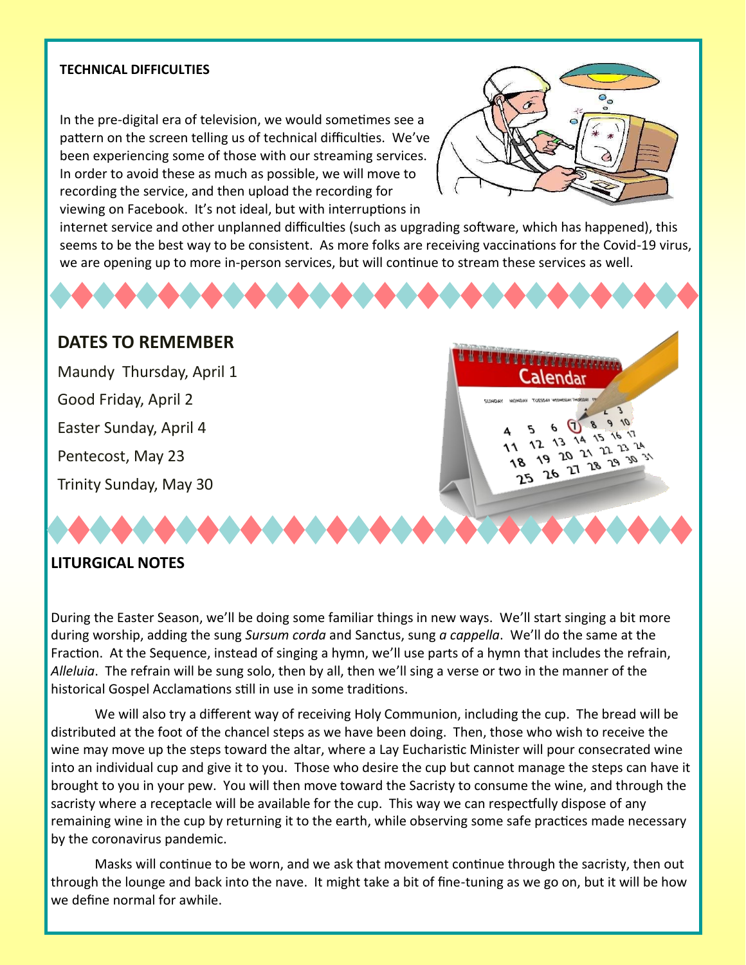#### **TECHNICAL DIFFICULTIES**

In the pre-digital era of television, we would sometimes see a pattern on the screen telling us of technical difficulties. We've been experiencing some of those with our streaming services. In order to avoid these as much as possible, we will move to recording the service, and then upload the recording for viewing on Facebook. It's not ideal, but with interruptions in



<u>TITUTIVIDAM</u> Calendar

> 18 าร

 $\sqrt{2}$  $\boldsymbol{\varphi}$  $\mathcal{S}$ (T)  $5$  0 13 14 15 16 17 19 20 21 22 23 31

internet service and other unplanned difficulties (such as upgrading software, which has happened), this seems to be the best way to be consistent. As more folks are receiving vaccinations for the Covid-19 virus, we are opening up to more in-person services, but will continue to stream these services as well.

#### **DATES TO REMEMBER**

Maundy Thursday, April 1 Good Friday, April 2 Easter Sunday, April 4 Pentecost, May 23 Trinity Sunday, May 30

#### **LITURGICAL NOTES**

During the Easter Season, we'll be doing some familiar things in new ways. We'll start singing a bit more during worship, adding the sung *Sursum corda* and Sanctus, sung *a cappella*. We'll do the same at the Fraction. At the Sequence, instead of singing a hymn, we'll use parts of a hymn that includes the refrain, *Alleluia*. The refrain will be sung solo, then by all, then we'll sing a verse or two in the manner of the historical Gospel Acclamations still in use in some traditions.

We will also try a different way of receiving Holy Communion, including the cup. The bread will be distributed at the foot of the chancel steps as we have been doing. Then, those who wish to receive the wine may move up the steps toward the altar, where a Lay Eucharistic Minister will pour consecrated wine into an individual cup and give it to you. Those who desire the cup but cannot manage the steps can have it brought to you in your pew. You will then move toward the Sacristy to consume the wine, and through the sacristy where a receptacle will be available for the cup. This way we can respectfully dispose of any remaining wine in the cup by returning it to the earth, while observing some safe practices made necessary by the coronavirus pandemic.

Masks will continue to be worn, and we ask that movement continue through the sacristy, then out through the lounge and back into the nave. It might take a bit of fine-tuning as we go on, but it will be how we define normal for awhile.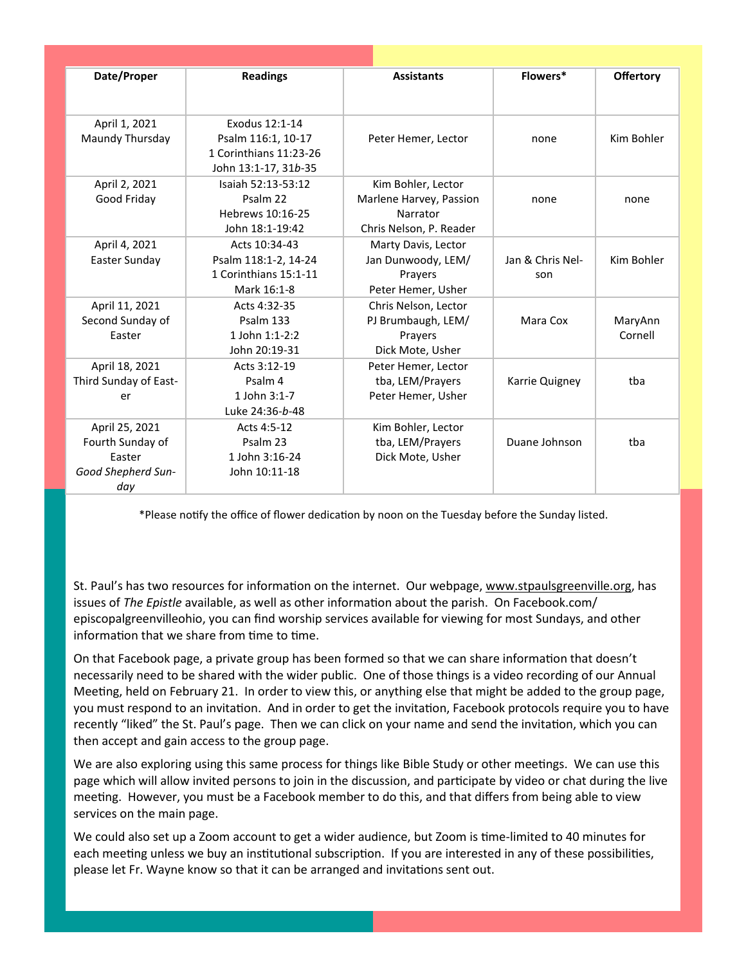| Date/Proper           | <b>Readings</b>        | <b>Assistants</b>       | Flowers*         | <b>Offertory</b> |
|-----------------------|------------------------|-------------------------|------------------|------------------|
|                       |                        |                         |                  |                  |
|                       |                        |                         |                  |                  |
| April 1, 2021         | Exodus 12:1-14         |                         |                  |                  |
| Maundy Thursday       | Psalm 116:1, 10-17     | Peter Hemer, Lector     | none             | Kim Bohler       |
|                       | 1 Corinthians 11:23-26 |                         |                  |                  |
|                       | John 13:1-17, 31b-35   |                         |                  |                  |
| April 2, 2021         | Isaiah 52:13-53:12     | Kim Bohler, Lector      |                  |                  |
| Good Friday           | Psalm 22               | Marlene Harvey, Passion | none             | none             |
|                       | Hebrews 10:16-25       | Narrator                |                  |                  |
|                       | John 18:1-19:42        | Chris Nelson, P. Reader |                  |                  |
| April 4, 2021         | Acts 10:34-43          | Marty Davis, Lector     |                  |                  |
| Easter Sunday         | Psalm 118:1-2, 14-24   | Jan Dunwoody, LEM/      | Jan & Chris Nel- | Kim Bohler       |
|                       | 1 Corinthians 15:1-11  | Prayers                 | son              |                  |
|                       | Mark 16:1-8            | Peter Hemer, Usher      |                  |                  |
| April 11, 2021        | Acts 4:32-35           | Chris Nelson, Lector    |                  |                  |
| Second Sunday of      | Psalm 133              | PJ Brumbaugh, LEM/      | Mara Cox         | MaryAnn          |
| Easter                | 1 John 1:1-2:2         | Prayers                 |                  | Cornell          |
|                       | John 20:19-31          | Dick Mote, Usher        |                  |                  |
| April 18, 2021        | Acts 3:12-19           | Peter Hemer, Lector     |                  |                  |
| Third Sunday of East- | Psalm 4                | tba, LEM/Prayers        | Karrie Quigney   | tba              |
| er                    | 1 John 3:1-7           | Peter Hemer, Usher      |                  |                  |
|                       | Luke 24:36-b-48        |                         |                  |                  |
| April 25, 2021        | Acts 4:5-12            | Kim Bohler, Lector      |                  |                  |
| Fourth Sunday of      | Psalm 23               | tba, LEM/Prayers        | Duane Johnson    | tba              |
| Easter                | 1 John 3:16-24         | Dick Mote, Usher        |                  |                  |
| Good Shepherd Sun-    | John 10:11-18          |                         |                  |                  |
| day                   |                        |                         |                  |                  |

\*Please notify the office of flower dedication by noon on the Tuesday before the Sunday listed.

St. Paul's has two resources for information on the internet. Our webpage, [www.stpaulsgreenville.org,](http://www.stpaulsgreenville.org) has issues of *The Epistle* available, as well as other information about the parish. On Facebook.com/ episcopalgreenvilleohio, you can find worship services available for viewing for most Sundays, and other information that we share from time to time.

On that Facebook page, a private group has been formed so that we can share information that doesn't necessarily need to be shared with the wider public. One of those things is a video recording of our Annual Meeting, held on February 21. In order to view this, or anything else that might be added to the group page, you must respond to an invitation. And in order to get the invitation, Facebook protocols require you to have recently "liked" the St. Paul's page. Then we can click on your name and send the invitation, which you can then accept and gain access to the group page.

We are also exploring using this same process for things like Bible Study or other meetings. We can use this page which will allow invited persons to join in the discussion, and participate by video or chat during the live meeting. However, you must be a Facebook member to do this, and that differs from being able to view services on the main page.

We could also set up a Zoom account to get a wider audience, but Zoom is time-limited to 40 minutes for each meeting unless we buy an institutional subscription. If you are interested in any of these possibilities, please let Fr. Wayne know so that it can be arranged and invitations sent out.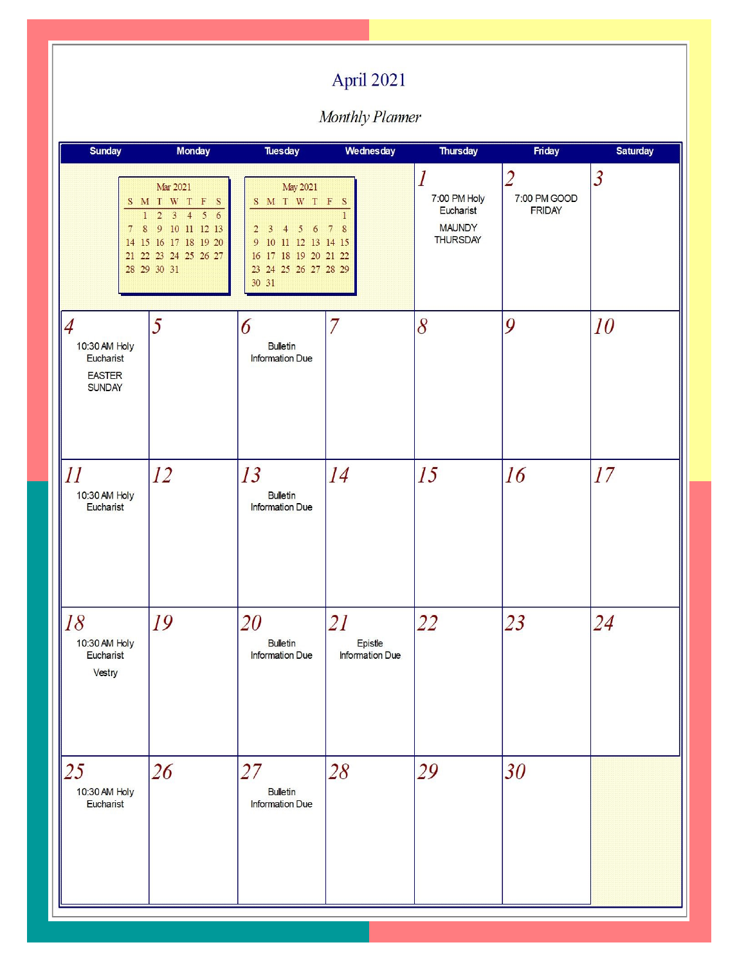# April 2021

Monthly Planner

| <b>Sunday</b>                                                                  | <b>Monday</b>                                                                                                                                 | <b>Tuesday</b>                                                                                                                                    | Wednesday                        | <b>Thursday</b>                                                                   | Friday                                          | <b>Saturday</b> |
|--------------------------------------------------------------------------------|-----------------------------------------------------------------------------------------------------------------------------------------------|---------------------------------------------------------------------------------------------------------------------------------------------------|----------------------------------|-----------------------------------------------------------------------------------|-------------------------------------------------|-----------------|
| $\,$ 8 $\,$<br>$7\phantom{.0}$                                                 | Mar 2021<br>SMTWTFS<br>$1\quad 2\quad 3\quad 4\quad 5\quad 6$<br>9 10 11 12 13<br>14 15 16 17 18 19 20<br>21 22 23 24 25 26 27<br>28 29 30 31 | May 2021<br>SMTWTFS<br>$5\quad 6$<br>$2\quad 3$<br>$\overline{4}$<br>9 10 11 12 13 14 15<br>16 17 18 19 20 21 22<br>23 24 25 26 27 28 29<br>30 31 | $\mathbf{1}$<br>7 8              | $\boldsymbol{l}$<br>7:00 PM Holy<br>Eucharist<br><b>MAUNDY</b><br><b>THURSDAY</b> | $\overline{2}$<br>7:00 PM GOOD<br><b>FRIDAY</b> | $\overline{3}$  |
| $\overline{4}$<br>10:30 AM Holy<br>Eucharist<br><b>EASTER</b><br><b>SUNDAY</b> | 5                                                                                                                                             | 6<br><b>Bulletin</b><br>Information Due                                                                                                           | $\overline{7}$                   | 8                                                                                 | 9                                               | 10              |
| 11<br>10:30 AM Holy<br>Eucharist                                               | 12                                                                                                                                            | 13<br><b>Bulletin</b><br>Information Due                                                                                                          | 14                               | 15                                                                                | 16                                              | 17              |
| 18<br>10:30 AM Holy<br>Eucharist<br>Vestry                                     | 19                                                                                                                                            | <i>20</i><br><b>Bulletin</b><br><b>Information Due</b>                                                                                            | 21<br>Epistle<br>Information Due | 22                                                                                | 23                                              | 24              |
| 25<br>10:30 AM Holy<br>Eucharist                                               | 26                                                                                                                                            | 27<br><b>Bulletin</b><br>Information Due                                                                                                          | 28                               | 29                                                                                | 30                                              |                 |